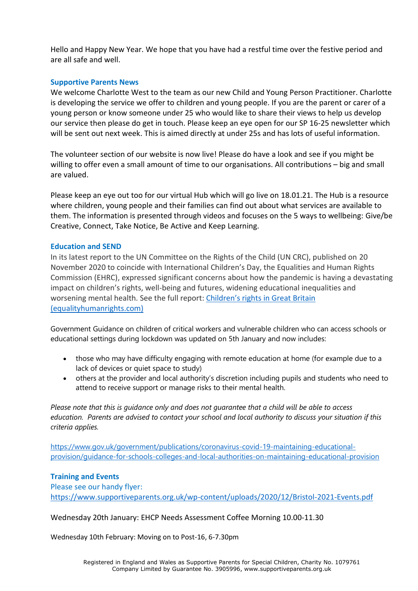Hello and Happy New Year. We hope that you have had a restful time over the festive period and are all safe and well.

## **Supportive Parents News**

We welcome Charlotte West to the team as our new Child and Young Person Practitioner. Charlotte is developing the service we offer to children and young people. If you are the parent or carer of a young person or know someone under 25 who would like to share their views to help us develop our service then please do get in touch. Please keep an eye open for our SP 16-25 newsletter which will be sent out next week. This is aimed directly at under 25s and has lots of useful information.

The volunteer section of our website is now live! Please do have a look and see if you might be willing to offer even a small amount of time to our organisations. All contributions – big and small are valued.

Please keep an eye out too for our virtual Hub which will go live on 18.01.21. The Hub is a resource where children, young people and their families can find out about what services are available to them. The information is presented through videos and focuses on the 5 ways to wellbeing: Give/be Creative, Connect, Take Notice, Be Active and Keep Learning.

## **Education and SEND**

In its latest report to the UN Committee on the Rights of the Child (UN CRC), published on 20 November 2020 to coincide with International Children's Day, the Equalities and Human Rights Commission (EHRC), expressed significant concerns about how the pandemic is having a devastating impact on children's rights, well-being and futures, widening educational inequalities and worsening mental health. See the full report: [Children's rights in Great Britain](https://www.equalityhumanrights.com/sites/default/files/childrens_rights_in_great_britain_0.pdf)  [\(equalityhumanrights.com\)](https://www.equalityhumanrights.com/sites/default/files/childrens_rights_in_great_britain_0.pdf)

Government Guidance on children of critical workers and vulnerable children who can access schools or educational settings during lockdown was updated on 5th January and now includes:

- those who may have difficulty engaging with remote education at home (for example due to a lack of devices or quiet space to study)
- others at the provider and local authority's discretion including pupils and students who need to attend to receive support or manage risks to their mental health.

*Please note that this is guidance only and does not guarantee that a child will be able to access education. Parents are advised to contact your school and local authority to discuss your situation if this criteria applies.*

[https://www.gov.uk/government/publications/coronavirus-covid-19-maintaining-educational](https://www.gov.uk/government/publications/coronavirus-covid-19-maintaining-educational-provision/guidance-for-schools-colleges-and-local-authorities-on-maintaining-educational-provision)[provision/guidance-for-schools-colleges-and-local-authorities-on-maintaining-educational-provision](https://www.gov.uk/government/publications/coronavirus-covid-19-maintaining-educational-provision/guidance-for-schools-colleges-and-local-authorities-on-maintaining-educational-provision)

## **Training and Events**

Please see our handy flyer: <https://www.supportiveparents.org.uk/wp-content/uploads/2020/12/Bristol-2021-Events.pdf>

Wednesday 20th January: EHCP Needs Assessment Coffee Morning 10.00-11.30

Wednesday 10th February: Moving on to Post-16, 6-7.30pm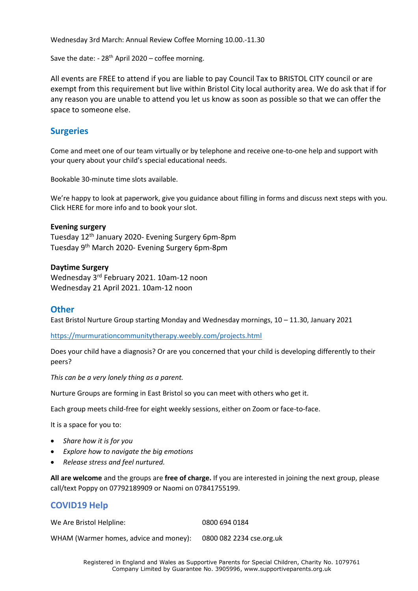Wednesday 3rd March: Annual Review Coffee Morning 10.00.-11.30

Save the date:  $-28$ <sup>th</sup> April 2020 – coffee morning.

All events are FREE to attend if you are liable to pay Council Tax to BRISTOL CITY council or are exempt from this requirement but live within Bristol City local authority area. We do ask that if for any reason you are unable to attend you let us know as soon as possible so that we can offer the space to someone else.

## **Surgeries**

Come and meet one of our team virtually or by telephone and receive one-to-one help and support with your query about your child's special educational needs.

Bookable 30-minute time slots available.

We're happy to look at paperwork, give you guidance about filling in forms and discuss next steps with you. Click HERE for more info and to book your slot.

#### **Evening surgery**

Tuesday 12th January 2020- Evening Surgery 6pm-8pm Tuesday 9th March 2020- Evening Surgery 6pm-8pm

#### **Daytime Surgery**

Wednesday 3rd February 2021. 10am-12 noon Wednesday 21 April 2021. 10am-12 noon

#### **Other**

East Bristol Nurture Group starting Monday and Wednesday mornings, 10 – 11.30, January 2021

<https://murmurationcommunitytherapy.weebly.com/projects.html>

Does your child have a diagnosis? Or are you concerned that your child is developing differently to their peers?

*This can be a very lonely thing as a parent.*

Nurture Groups are forming in East Bristol so you can meet with others who get it.

Each group meets child-free for eight weekly sessions, either on Zoom or face-to-face.

It is a space for you to:

- *Share how it is for you*
- *Explore how to navigate the big emotions*
- *Release stress and feel nurtured.*

**All are welcome** and the groups are **free of charge.** If you are interested in joining the next group, please call/text Poppy on 07792189909 or Naomi on 07841755199.

## **COVID19 Help**

We Are Bristol Helpline: 0800 694 0184

WHAM (Warmer homes, advice and money): 0800 082 2234 cse.org.uk